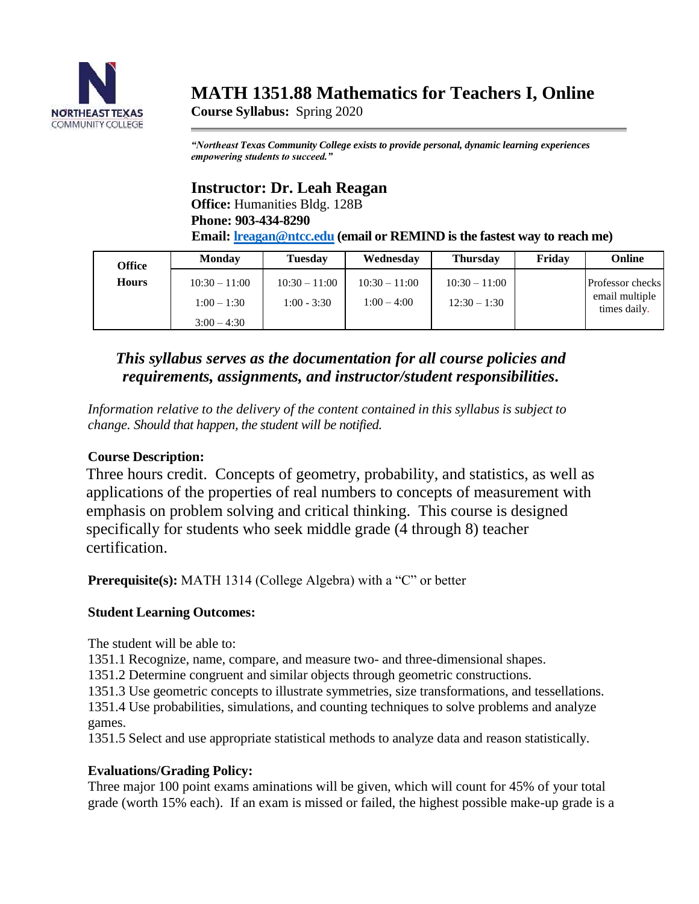

# **MATH 1351.88 Mathematics for Teachers I, Online**

**Course Syllabus:** Spring 2020

*"Northeast Texas Community College exists to provide personal, dynamic learning experiences empowering students to succeed."*

# **Instructor: Dr. Leah Reagan**

**Office:** Humanities Bldg. 128B **Phone: 903-434-8290**

**Email: [lreagan@ntcc.edu](mailto:lreagan@ntcc.edu) (email or REMIND is the fastest way to reach me)**

| <b>Office</b> | <b>Monday</b>                                   | Tuesdav                          | Wednesday                        | <b>Thursday</b>                   | Friday | Online                                             |
|---------------|-------------------------------------------------|----------------------------------|----------------------------------|-----------------------------------|--------|----------------------------------------------------|
| <b>Hours</b>  | $10:30 - 11:00$<br>$1:00-1:30$<br>$3:00 - 4:30$ | $10:30 - 11:00$<br>$1:00 - 3:30$ | $10:30 - 11:00$<br>$1:00 - 4:00$ | $10:30 - 11:00$<br>$12:30 - 1:30$ |        | Professor checks<br>email multiple<br>times daily. |

# *This syllabus serves as the documentation for all course policies and requirements, assignments, and instructor/student responsibilities.*

*Information relative to the delivery of the content contained in this syllabus is subject to change. Should that happen, the student will be notified.*

### **Course Description:**

Three hours credit. Concepts of geometry, probability, and statistics, as well as applications of the properties of real numbers to concepts of measurement with emphasis on problem solving and critical thinking. This course is designed specifically for students who seek middle grade (4 through 8) teacher certification.

**Prerequisite(s):** MATH 1314 (College Algebra) with a "C" or better

## **Student Learning Outcomes:**

The student will be able to:

1351.1 Recognize, name, compare, and measure two- and three-dimensional shapes.

1351.2 Determine congruent and similar objects through geometric constructions.

1351.3 Use geometric concepts to illustrate symmetries, size transformations, and tessellations.

1351.4 Use probabilities, simulations, and counting techniques to solve problems and analyze games.

1351.5 Select and use appropriate statistical methods to analyze data and reason statistically.

## **Evaluations/Grading Policy:**

Three major 100 point exams aminations will be given, which will count for 45% of your total grade (worth 15% each). If an exam is missed or failed, the highest possible make-up grade is a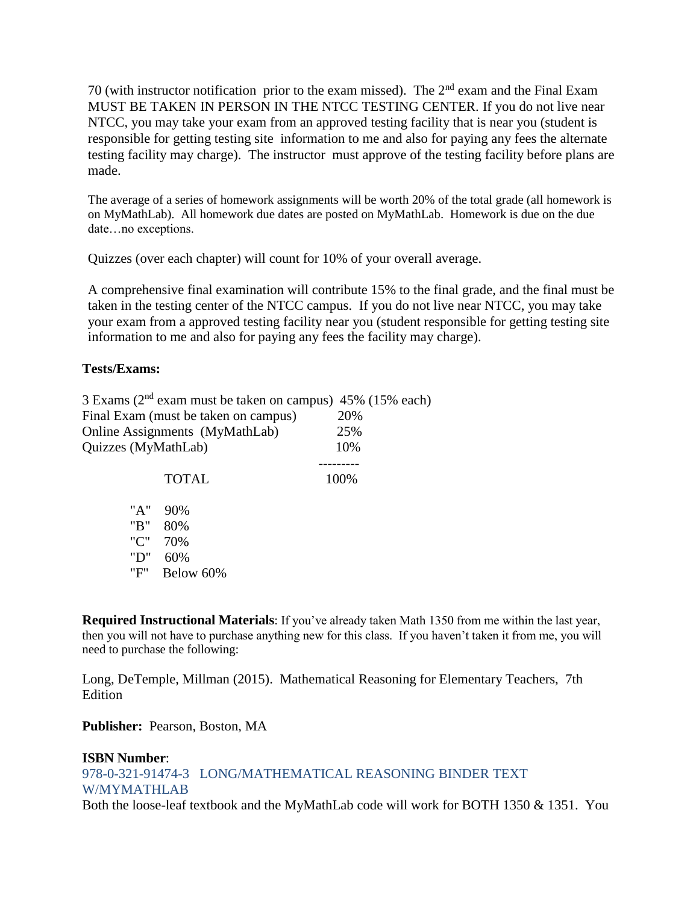70 (with instructor notification prior to the exam missed). The  $2<sup>nd</sup>$  exam and the Final Exam MUST BE TAKEN IN PERSON IN THE NTCC TESTING CENTER. If you do not live near NTCC, you may take your exam from an approved testing facility that is near you (student is responsible for getting testing site information to me and also for paying any fees the alternate testing facility may charge). The instructor must approve of the testing facility before plans are made.

The average of a series of homework assignments will be worth 20% of the total grade (all homework is on MyMathLab). All homework due dates are posted on MyMathLab. Homework is due on the due date…no exceptions.

Quizzes (over each chapter) will count for 10% of your overall average.

A comprehensive final examination will contribute 15% to the final grade, and the final must be taken in the testing center of the NTCC campus. If you do not live near NTCC, you may take your exam from a approved testing facility near you (student responsible for getting testing site information to me and also for paying any fees the facility may charge).

#### **Tests/Exams:**

|                     | 3 Exams ( $2nd$ exam must be taken on campus) 45% (15% each) |      |
|---------------------|--------------------------------------------------------------|------|
|                     | Final Exam (must be taken on campus)                         | 20%  |
|                     | Online Assignments (MyMathLab)                               | 25%  |
| Quizzes (MyMathLab) |                                                              | 10%  |
|                     |                                                              |      |
|                     | <b>TOTAL</b>                                                 | 100% |
| "A"                 | 90%                                                          |      |
| "B"                 | 80%                                                          |      |
| $\cdots$            | - - - -                                                      |      |

'C" 70% "D" 60%

"F" Below 60%

**Required Instructional Materials**: If you've already taken Math 1350 from me within the last year, then you will not have to purchase anything new for this class. If you haven't taken it from me, you will need to purchase the following:

Long, DeTemple, Millman (2015). Mathematical Reasoning for Elementary Teachers, 7th Edition

**Publisher:** Pearson, Boston, MA

#### **ISBN Number**:

978-0-321-91474-3 LONG/MATHEMATICAL REASONING BINDER TEXT W/MYMATHLAB Both the loose-leaf textbook and the MyMathLab code will work for BOTH 1350 & 1351. You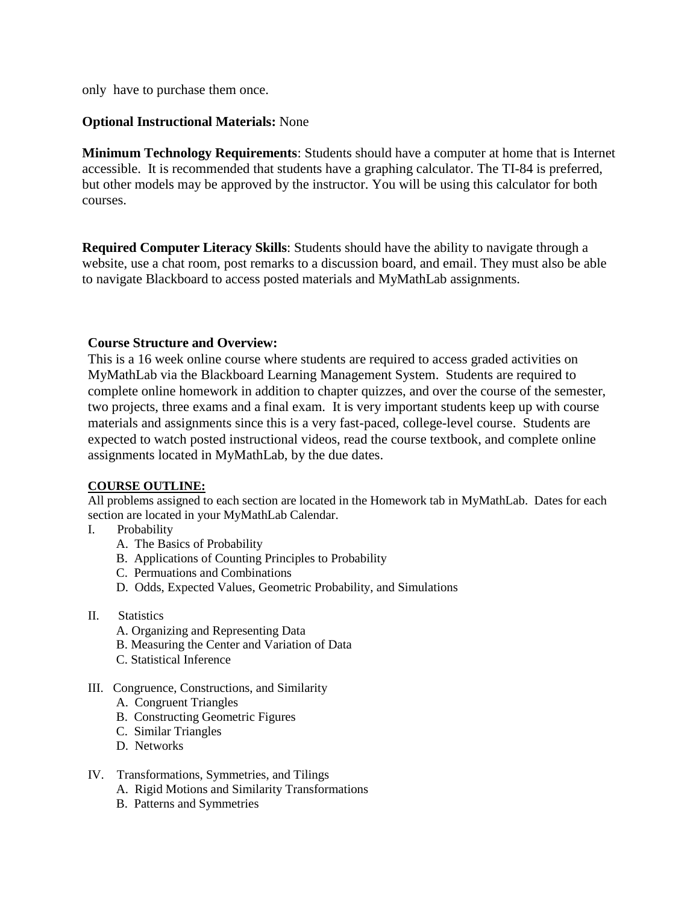only have to purchase them once.

#### **Optional Instructional Materials:** None

**Minimum Technology Requirements**: Students should have a computer at home that is Internet accessible. It is recommended that students have a graphing calculator. The TI-84 is preferred, but other models may be approved by the instructor. You will be using this calculator for both courses.

**Required Computer Literacy Skills**: Students should have the ability to navigate through a website, use a chat room, post remarks to a discussion board, and email. They must also be able to navigate Blackboard to access posted materials and MyMathLab assignments.

#### **Course Structure and Overview:**

This is a 16 week online course where students are required to access graded activities on MyMathLab via the Blackboard Learning Management System. Students are required to complete online homework in addition to chapter quizzes, and over the course of the semester, two projects, three exams and a final exam. It is very important students keep up with course materials and assignments since this is a very fast-paced, college-level course. Students are expected to watch posted instructional videos, read the course textbook, and complete online assignments located in MyMathLab, by the due dates.

#### **COURSE OUTLINE:**

All problems assigned to each section are located in the Homework tab in MyMathLab. Dates for each section are located in your MyMathLab Calendar.

- I. Probability
	- A. The Basics of Probability
	- B. Applications of Counting Principles to Probability
	- C. Permuations and Combinations
	- D. Odds, Expected Values, Geometric Probability, and Simulations
- II. Statistics
	- A. Organizing and Representing Data
	- B. Measuring the Center and Variation of Data
	- C. Statistical Inference
- III. Congruence, Constructions, and Similarity
	- A. Congruent Triangles
	- B. Constructing Geometric Figures
	- C. Similar Triangles
	- D. Networks
- IV. Transformations, Symmetries, and Tilings
	- A. Rigid Motions and Similarity Transformations
	- B. Patterns and Symmetries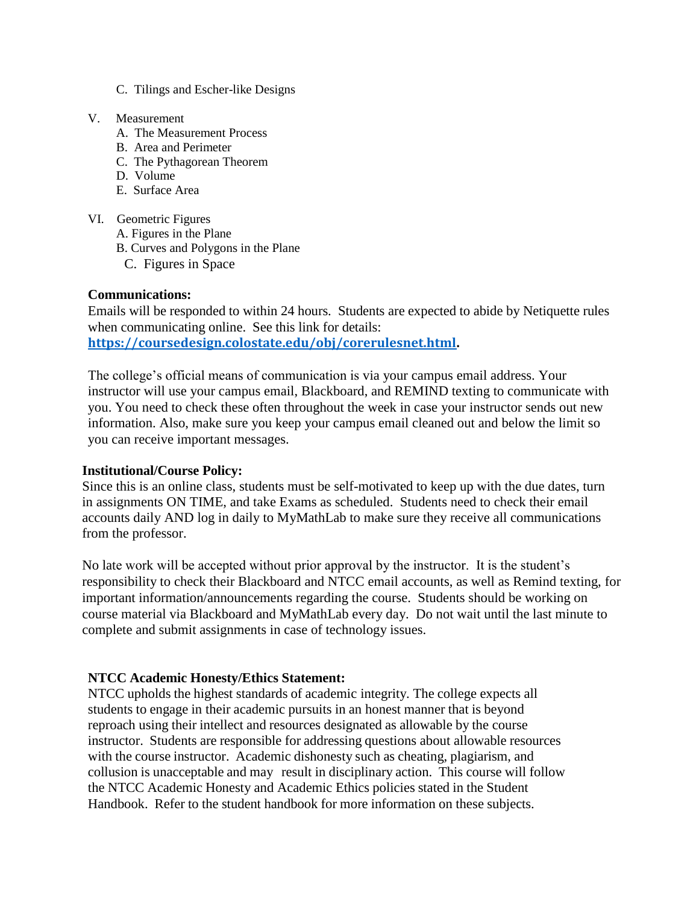- C. Tilings and Escher-like Designs
- V. Measurement
	- A. The Measurement Process
	- B. Area and Perimeter
	- C. The Pythagorean Theorem
	- D. Volume
	- E. Surface Area
- VI. Geometric Figures
	- A. Figures in the Plane
	- B. Curves and Polygons in the Plane
	- C. Figures in Space

#### **Communications:**

Emails will be responded to within 24 hours. Students are expected to abide by Netiquette rules when communicating online. See this link for details: **[https://coursedesign.colostate.edu/obj/corerulesnet.html.](https://coursedesign.colostate.edu/obj/corerulesnet.html)**

The college's official means of communication is via your campus email address. Your instructor will use your campus email, Blackboard, and REMIND texting to communicate with you. You need to check these often throughout the week in case your instructor sends out new information. Also, make sure you keep your campus email cleaned out and below the limit so you can receive important messages.

#### **Institutional/Course Policy:**

Since this is an online class, students must be self-motivated to keep up with the due dates, turn in assignments ON TIME, and take Exams as scheduled. Students need to check their email accounts daily AND log in daily to MyMathLab to make sure they receive all communications from the professor.

No late work will be accepted without prior approval by the instructor. It is the student's responsibility to check their Blackboard and NTCC email accounts, as well as Remind texting, for important information/announcements regarding the course. Students should be working on course material via Blackboard and MyMathLab every day. Do not wait until the last minute to complete and submit assignments in case of technology issues.

#### **NTCC Academic Honesty/Ethics Statement:**

NTCC upholds the highest standards of academic integrity. The college expects all students to engage in their academic pursuits in an honest manner that is beyond reproach using their intellect and resources designated as allowable by the course instructor. Students are responsible for addressing questions about allowable resources with the course instructor. Academic dishonesty such as cheating, plagiarism, and collusion is unacceptable and may result in disciplinary action. This course will follow the NTCC Academic Honesty and Academic Ethics policies stated in the Student Handbook. Refer to the student handbook for more information on these subjects.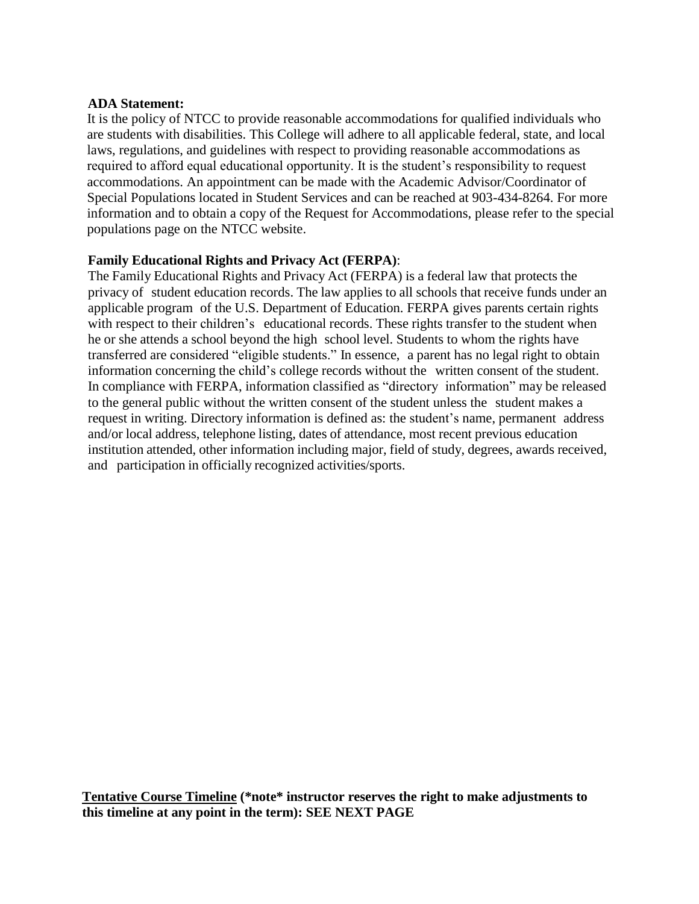#### **ADA Statement:**

It is the policy of NTCC to provide reasonable accommodations for qualified individuals who are students with disabilities. This College will adhere to all applicable federal, state, and local laws, regulations, and guidelines with respect to providing reasonable accommodations as required to afford equal educational opportunity. It is the student's responsibility to request accommodations. An appointment can be made with the Academic Advisor/Coordinator of Special Populations located in Student Services and can be reached at 903-434-8264. For more information and to obtain a copy of the Request for Accommodations, please refer to the special populations page on the NTCC websit[e.](http://www.ntcc.edu/index.php?module=Pagesetter&func=viewpub&tid=111&pid=1) 

#### **Family Educational Rights and Privacy Act (FERPA)**:

The Family Educational Rights and Privacy Act (FERPA) is a federal law that protects the privacy of student education records. The law applies to all schools that receive funds under an applicable program of the U.S. Department of Education. FERPA gives parents certain rights with respect to their children's educational records. These rights transfer to the student when he or she attends a school beyond the high school level. Students to whom the rights have transferred are considered "eligible students." In essence, a parent has no legal right to obtain information concerning the child's college records without the written consent of the student. In compliance with FERPA, information classified as "directory information" may be released to the general public without the written consent of the student unless the student makes a request in writing. Directory information is defined as: the student's name, permanent address and/or local address, telephone listing, dates of attendance, most recent previous education institution attended, other information including major, field of study, degrees, awards received, and participation in officially recognized activities/sports.

**Tentative Course Timeline (\*note\* instructor reserves the right to make adjustments to this timeline at any point in the term): SEE NEXT PAGE**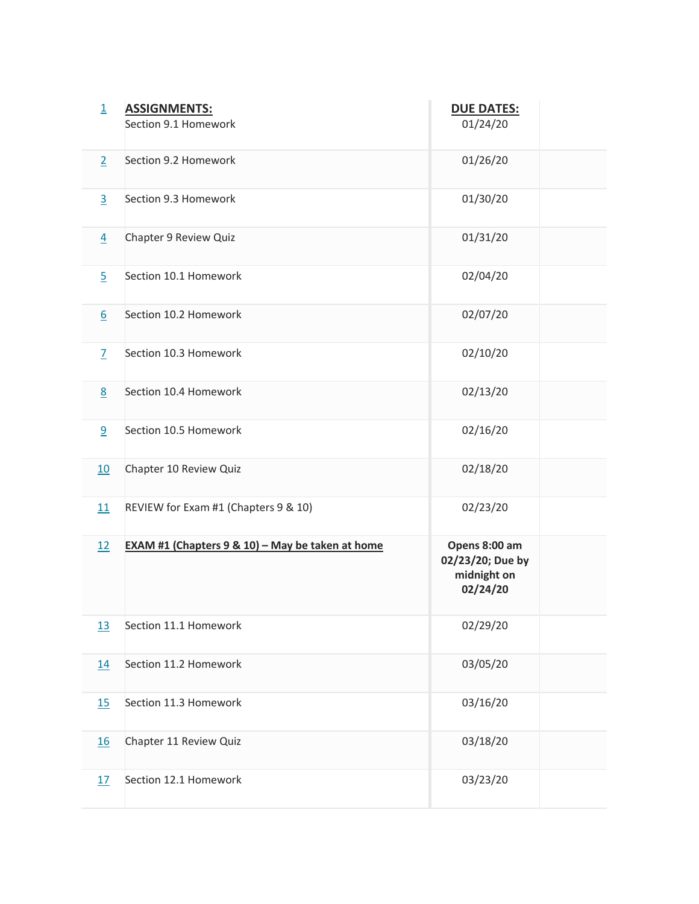| $\overline{\mathbf{1}}$ | <b>ASSIGNMENTS:</b><br>Section 9.1 Homework      | <b>DUE DATES:</b><br>01/24/20                                |  |
|-------------------------|--------------------------------------------------|--------------------------------------------------------------|--|
| $\overline{2}$          | Section 9.2 Homework                             | 01/26/20                                                     |  |
| $\overline{3}$          | Section 9.3 Homework                             | 01/30/20                                                     |  |
| $\overline{4}$          | Chapter 9 Review Quiz                            | 01/31/20                                                     |  |
| $\overline{5}$          | Section 10.1 Homework                            | 02/04/20                                                     |  |
| $6 \overline{6}$        | Section 10.2 Homework                            | 02/07/20                                                     |  |
| $\overline{Z}$          | Section 10.3 Homework                            | 02/10/20                                                     |  |
| 8                       | Section 10.4 Homework                            | 02/13/20                                                     |  |
| 9                       | Section 10.5 Homework                            | 02/16/20                                                     |  |
| 10                      | Chapter 10 Review Quiz                           | 02/18/20                                                     |  |
| 11                      | REVIEW for Exam #1 (Chapters 9 & 10)             | 02/23/20                                                     |  |
| 12                      | EXAM #1 (Chapters 9 & 10) - May be taken at home | Opens 8:00 am<br>02/23/20; Due by<br>midnight on<br>02/24/20 |  |
| <u>13</u>               | Section 11.1 Homework                            | 02/29/20                                                     |  |
| <u>14</u>               | Section 11.2 Homework                            | 03/05/20                                                     |  |
| 15                      | Section 11.3 Homework                            | 03/16/20                                                     |  |
| <u>16</u>               | Chapter 11 Review Quiz                           | 03/18/20                                                     |  |
| 17                      | Section 12.1 Homework                            | 03/23/20                                                     |  |